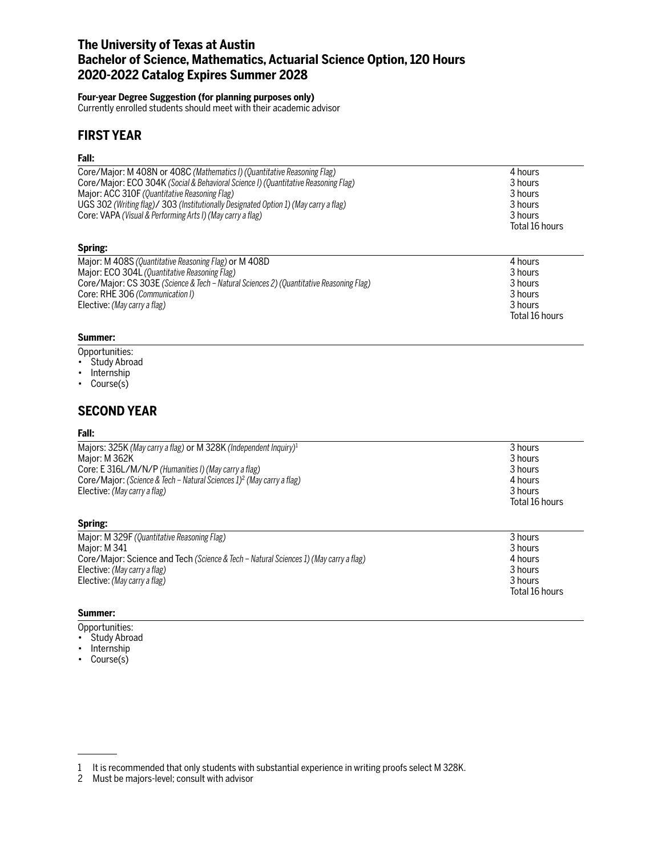# **The University of Texas at Austin Bachelor of Science, Mathematics, Actuarial Science Option, 120 Hours 2020-2022 Catalog Expires Summer 2028**

## **Four-year Degree Suggestion (for planning purposes only)**

Currently enrolled students should meet with their academic advisor

# **FIRST YEAR**

### **Fall:**

| Core/Major: M 408N or 408C (Mathematics I) (Quantitative Reasoning Flag)                | 4 hours        |
|-----------------------------------------------------------------------------------------|----------------|
| Core/Major: ECO 304K (Social & Behavioral Science I) (Quantitative Reasoning Flag)      | 3 hours        |
| Major: ACC 310F (Quantitative Reasoning Flag)                                           | 3 hours        |
| UGS 302 (Writing flag)/ 303 (Institutionally Designated Option 1) (May carry a flag)    | 3 hours        |
| Core: VAPA (Visual & Performing Arts I) (May carry a flag)                              | 3 hours        |
|                                                                                         | Total 16 hours |
| Spring:                                                                                 |                |
| Major: M 408S (Quantitative Reasoning Flag) or M 408D                                   | 4 hours        |
| Major: ECO 304L (Quantitative Reasoning Flag)                                           | 3 hours        |
| Core/Major: CS 303E (Science & Tech - Natural Sciences 2) (Quantitative Reasoning Flag) | 3 hours        |
| Core: RHE 306 (Communication I)                                                         | 3 hours        |
| Elective: (May carry a flag)                                                            | 3 hours        |
|                                                                                         | Total 16 hours |

## **Summer:**

- Opportunities:
- Study Abroad
- Internship
- Course(s)

# **SECOND YEAR**

### **Fall:**

| Majors: 325K (May carry a flag) or M 328K (Independent Inquiry) <sup>1</sup>      | 3 hours        |
|-----------------------------------------------------------------------------------|----------------|
| Maior: M 362K                                                                     | 3 hours        |
| Core: E 316L/M/N/P (Humanities I) (May carry a flag)                              | 3 hours        |
| Core/Major: (Science & Tech – Natural Sciences 1) <sup>2</sup> (May carry a flag) | 4 hours        |
| Elective: (May carry a flag)                                                      | 3 hours        |
|                                                                                   | Total 16 hours |
|                                                                                   |                |

### **Spring:**

| Major: M 329F (Quantitative Reasoning Flag)                                           | 3 hours        |
|---------------------------------------------------------------------------------------|----------------|
| Maior: M 341                                                                          | 3 hours        |
| Core/Major: Science and Tech (Science & Tech – Natural Sciences 1) (May carry a flag) | 4 hours        |
| Elective: (May carry a flag)                                                          | 3 hours        |
| Elective: (May carry a flag)                                                          | 3 hours        |
|                                                                                       | Total 16 hours |

## **Summer:**

- Opportunities:
- Study Abroad
- Internship
- Course(s)

<sup>1</sup> It is recommended that only students with substantial experience in writing proofs select M 328K.

<sup>2</sup> Must be majors-level; consult with advisor